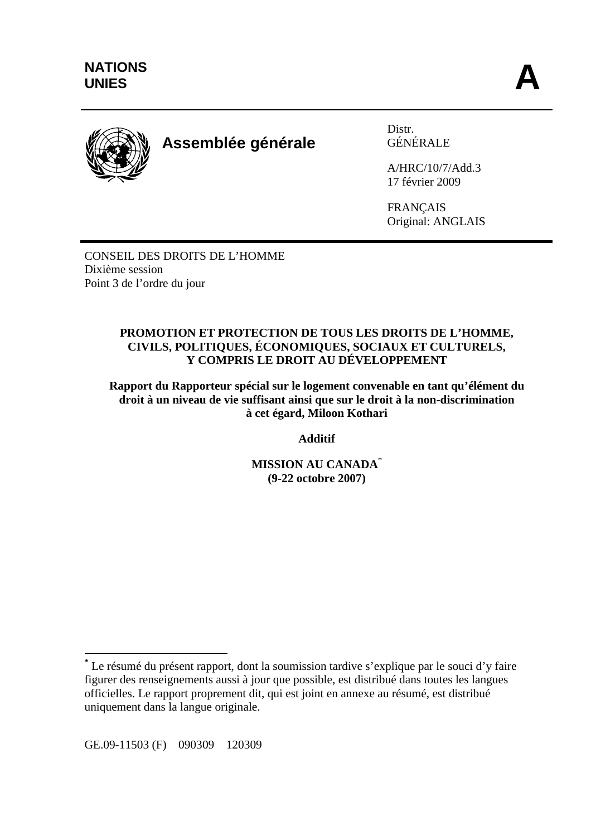

# **Assemblée générale**

Distr. GÉNÉRALE

A/HRC/10/7/Add.3 17 février 2009

FRANÇAIS Original: ANGLAIS

CONSEIL DES DROITS DE L'HOMME Dixième session Point 3 de l'ordre du jour

#### **PROMOTION ET PROTECTION DE TOUS LES DROITS DE L'HOMME, CIVILS, POLITIQUES, ÉCONOMIQUES, SOCIAUX ET CULTURELS, Y COMPRIS LE DROIT AU DÉVELOPPEMENT**

**Rapport du Rapporteur spécial sur le logement convenable en tant qu'élément du droit à un niveau de vie suffisant ainsi que sur le droit à la non-discrimination à cet égard, Miloon Kothari** 

**Additif** 

**MISSION AU CANADA**\* **(9-22 octobre 2007)** 

GE.09-11503 (F) 090309 120309

 $\overline{a}$ 

**<sup>\*</sup>** Le résumé du présent rapport, dont la soumission tardive s'explique par le souci d'y faire figurer des renseignements aussi à jour que possible, est distribué dans toutes les langues officielles. Le rapport proprement dit, qui est joint en annexe au résumé, est distribué uniquement dans la langue originale.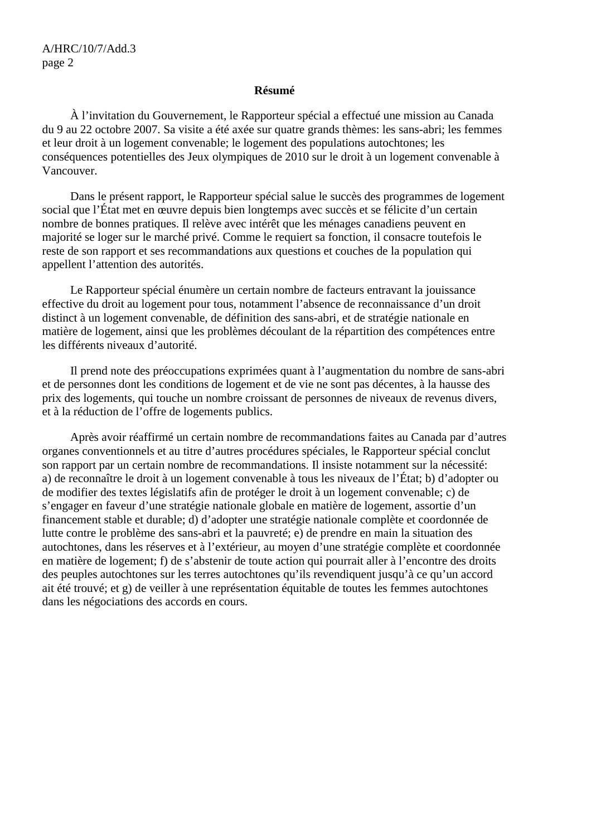#### **Résumé**

 À l'invitation du Gouvernement, le Rapporteur spécial a effectué une mission au Canada du 9 au 22 octobre 2007. Sa visite a été axée sur quatre grands thèmes: les sans-abri; les femmes et leur droit à un logement convenable; le logement des populations autochtones; les conséquences potentielles des Jeux olympiques de 2010 sur le droit à un logement convenable à Vancouver.

 Dans le présent rapport, le Rapporteur spécial salue le succès des programmes de logement social que l'État met en œuvre depuis bien longtemps avec succès et se félicite d'un certain nombre de bonnes pratiques. Il relève avec intérêt que les ménages canadiens peuvent en majorité se loger sur le marché privé. Comme le requiert sa fonction, il consacre toutefois le reste de son rapport et ses recommandations aux questions et couches de la population qui appellent l'attention des autorités.

 Le Rapporteur spécial énumère un certain nombre de facteurs entravant la jouissance effective du droit au logement pour tous, notamment l'absence de reconnaissance d'un droit distinct à un logement convenable, de définition des sans-abri, et de stratégie nationale en matière de logement, ainsi que les problèmes découlant de la répartition des compétences entre les différents niveaux d'autorité.

 Il prend note des préoccupations exprimées quant à l'augmentation du nombre de sans-abri et de personnes dont les conditions de logement et de vie ne sont pas décentes, à la hausse des prix des logements, qui touche un nombre croissant de personnes de niveaux de revenus divers, et à la réduction de l'offre de logements publics.

 Après avoir réaffirmé un certain nombre de recommandations faites au Canada par d'autres organes conventionnels et au titre d'autres procédures spéciales, le Rapporteur spécial conclut son rapport par un certain nombre de recommandations. Il insiste notamment sur la nécessité: a) de reconnaître le droit à un logement convenable à tous les niveaux de l'État; b) d'adopter ou de modifier des textes législatifs afin de protéger le droit à un logement convenable; c) de s'engager en faveur d'une stratégie nationale globale en matière de logement, assortie d'un financement stable et durable; d) d'adopter une stratégie nationale complète et coordonnée de lutte contre le problème des sans-abri et la pauvreté; e) de prendre en main la situation des autochtones, dans les réserves et à l'extérieur, au moyen d'une stratégie complète et coordonnée en matière de logement; f) de s'abstenir de toute action qui pourrait aller à l'encontre des droits des peuples autochtones sur les terres autochtones qu'ils revendiquent jusqu'à ce qu'un accord ait été trouvé; et g) de veiller à une représentation équitable de toutes les femmes autochtones dans les négociations des accords en cours.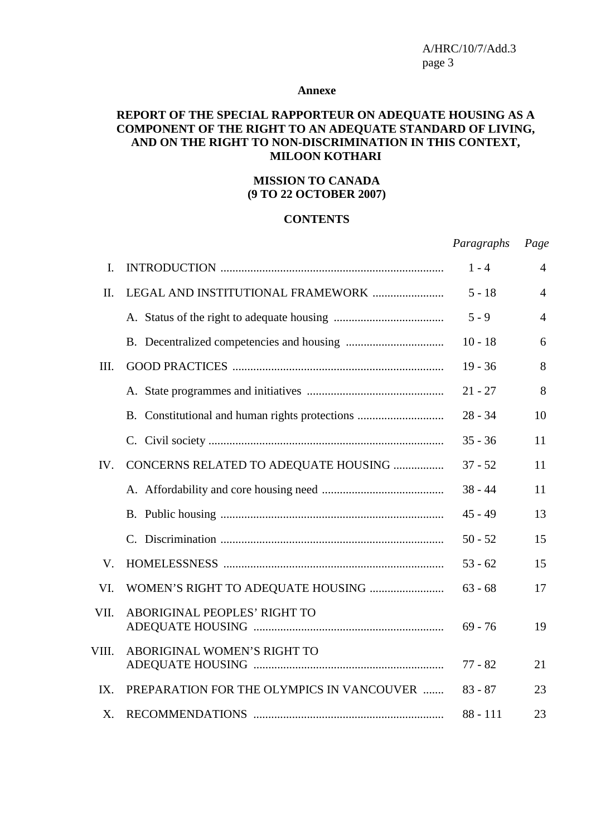#### **Annexe**

#### **REPORT OF THE SPECIAL RAPPORTEUR ON ADEQUATE HOUSING AS A COMPONENT OF THE RIGHT TO AN ADEQUATE STANDARD OF LIVING, AND ON THE RIGHT TO NON-DISCRIMINATION IN THIS CONTEXT, MILOON KOTHARI**

#### **MISSION TO CANADA (9 TO 22 OCTOBER 2007)**

#### **CONTENTS**

*Paragraphs Page*

| I.    |                                                | $1 - 4$    | $\overline{4}$ |
|-------|------------------------------------------------|------------|----------------|
| II.   | LEGAL AND INSTITUTIONAL FRAMEWORK              | $5 - 18$   | $\overline{4}$ |
|       |                                                | $5 - 9$    | $\overline{4}$ |
|       |                                                | $10 - 18$  | 6              |
| III.  |                                                | $19 - 36$  | 8              |
|       |                                                | $21 - 27$  | 8              |
|       | B. Constitutional and human rights protections | $28 - 34$  | 10             |
|       |                                                | $35 - 36$  | 11             |
| IV.   | CONCERNS RELATED TO ADEQUATE HOUSING           | $37 - 52$  | 11             |
|       |                                                | $38 - 44$  | 11             |
|       |                                                | $45 - 49$  | 13             |
|       |                                                | $50 - 52$  | 15             |
| V.    |                                                | $53 - 62$  | 15             |
| VI.   |                                                | $63 - 68$  | 17             |
| VII.  | ABORIGINAL PEOPLES' RIGHT TO                   | $69 - 76$  | 19             |
| VIII. | ABORIGINAL WOMEN'S RIGHT TO                    | $77 - 82$  | 21             |
| IX.   | PREPARATION FOR THE OLYMPICS IN VANCOUVER      | $83 - 87$  | 23             |
| X.    |                                                | $88 - 111$ | 23             |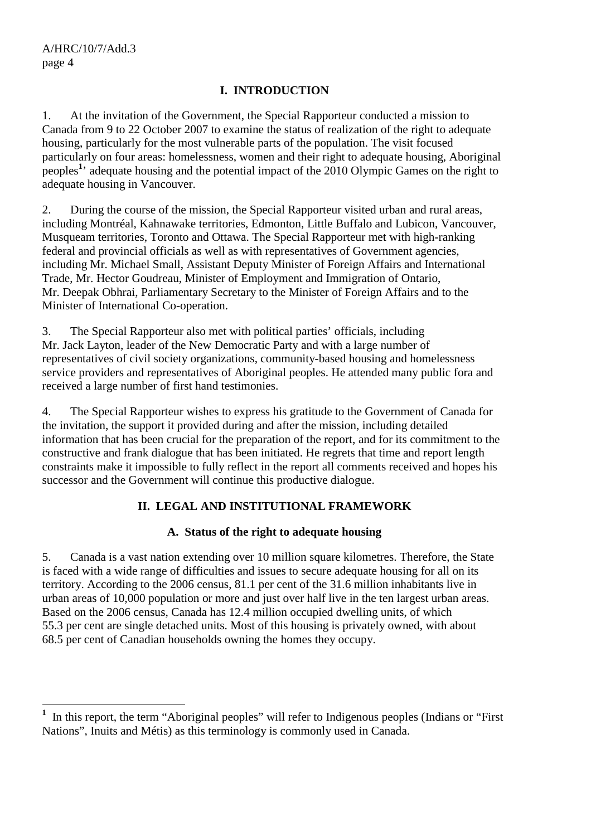#### **I. INTRODUCTION**

1. At the invitation of the Government, the Special Rapporteur conducted a mission to Canada from 9 to 22 October 2007 to examine the status of realization of the right to adequate housing, particularly for the most vulnerable parts of the population. The visit focused particularly on four areas: homelessness, women and their right to adequate housing, Aboriginal peoples**<sup>1</sup>** ' adequate housing and the potential impact of the 2010 Olympic Games on the right to adequate housing in Vancouver.

2. During the course of the mission, the Special Rapporteur visited urban and rural areas, including Montréal, Kahnawake territories, Edmonton, Little Buffalo and Lubicon, Vancouver, Musqueam territories, Toronto and Ottawa. The Special Rapporteur met with high-ranking federal and provincial officials as well as with representatives of Government agencies, including Mr. Michael Small, Assistant Deputy Minister of Foreign Affairs and International Trade, Mr. Hector Goudreau, Minister of Employment and Immigration of Ontario, Mr. Deepak Obhrai, Parliamentary Secretary to the Minister of Foreign Affairs and to the Minister of International Co-operation.

3. The Special Rapporteur also met with political parties' officials, including Mr. Jack Layton, leader of the New Democratic Party and with a large number of representatives of civil society organizations, community-based housing and homelessness service providers and representatives of Aboriginal peoples. He attended many public fora and received a large number of first hand testimonies.

4. The Special Rapporteur wishes to express his gratitude to the Government of Canada for the invitation, the support it provided during and after the mission, including detailed information that has been crucial for the preparation of the report, and for its commitment to the constructive and frank dialogue that has been initiated. He regrets that time and report length constraints make it impossible to fully reflect in the report all comments received and hopes his successor and the Government will continue this productive dialogue.

## **II. LEGAL AND INSTITUTIONAL FRAMEWORK**

#### **A. Status of the right to adequate housing**

5. Canada is a vast nation extending over 10 million square kilometres. Therefore, the State is faced with a wide range of difficulties and issues to secure adequate housing for all on its territory. According to the 2006 census, 81.1 per cent of the 31.6 million inhabitants live in urban areas of 10,000 population or more and just over half live in the ten largest urban areas. Based on the 2006 census, Canada has 12.4 million occupied dwelling units, of which 55.3 per cent are single detached units. Most of this housing is privately owned, with about 68.5 per cent of Canadian households owning the homes they occupy.

<sup>&</sup>lt;sup>1</sup> In this report, the term "Aboriginal peoples" will refer to Indigenous peoples (Indians or "First") Nations", Inuits and Métis) as this terminology is commonly used in Canada.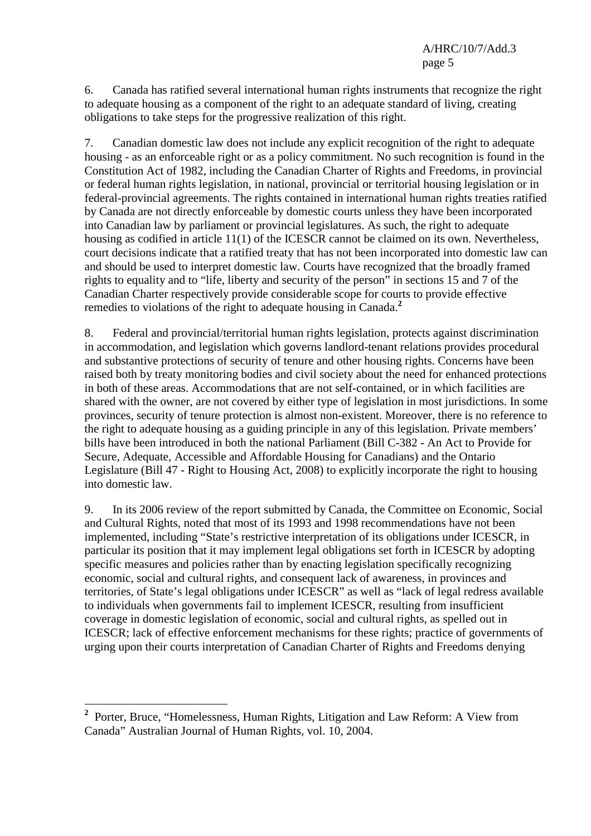6. Canada has ratified several international human rights instruments that recognize the right to adequate housing as a component of the right to an adequate standard of living, creating obligations to take steps for the progressive realization of this right.

7. Canadian domestic law does not include any explicit recognition of the right to adequate housing - as an enforceable right or as a policy commitment. No such recognition is found in the Constitution Act of 1982, including the Canadian Charter of Rights and Freedoms, in provincial or federal human rights legislation, in national, provincial or territorial housing legislation or in federal-provincial agreements. The rights contained in international human rights treaties ratified by Canada are not directly enforceable by domestic courts unless they have been incorporated into Canadian law by parliament or provincial legislatures. As such, the right to adequate housing as codified in article 11(1) of the ICESCR cannot be claimed on its own. Nevertheless, court decisions indicate that a ratified treaty that has not been incorporated into domestic law can and should be used to interpret domestic law. Courts have recognized that the broadly framed rights to equality and to "life, liberty and security of the person" in sections 15 and 7 of the Canadian Charter respectively provide considerable scope for courts to provide effective remedies to violations of the right to adequate housing in Canada.**<sup>2</sup>**

8. Federal and provincial/territorial human rights legislation, protects against discrimination in accommodation, and legislation which governs landlord-tenant relations provides procedural and substantive protections of security of tenure and other housing rights. Concerns have been raised both by treaty monitoring bodies and civil society about the need for enhanced protections in both of these areas. Accommodations that are not self-contained, or in which facilities are shared with the owner, are not covered by either type of legislation in most jurisdictions. In some provinces, security of tenure protection is almost non-existent. Moreover, there is no reference to the right to adequate housing as a guiding principle in any of this legislation. Private members' bills have been introduced in both the national Parliament (Bill C-382 - An Act to Provide for Secure, Adequate, Accessible and Affordable Housing for Canadians) and the Ontario Legislature (Bill 47 - Right to Housing Act, 2008) to explicitly incorporate the right to housing into domestic law.

9. In its 2006 review of the report submitted by Canada, the Committee on Economic, Social and Cultural Rights, noted that most of its 1993 and 1998 recommendations have not been implemented, including "State's restrictive interpretation of its obligations under ICESCR, in particular its position that it may implement legal obligations set forth in ICESCR by adopting specific measures and policies rather than by enacting legislation specifically recognizing economic, social and cultural rights, and consequent lack of awareness, in provinces and territories, of State's legal obligations under ICESCR" as well as "lack of legal redress available to individuals when governments fail to implement ICESCR, resulting from insufficient coverage in domestic legislation of economic, social and cultural rights, as spelled out in ICESCR; lack of effective enforcement mechanisms for these rights; practice of governments of urging upon their courts interpretation of Canadian Charter of Rights and Freedoms denying

<sup>&</sup>lt;sup>2</sup> Porter, Bruce, "Homelessness, Human Rights, Litigation and Law Reform: A View from Canada" Australian Journal of Human Rights, vol. 10, 2004.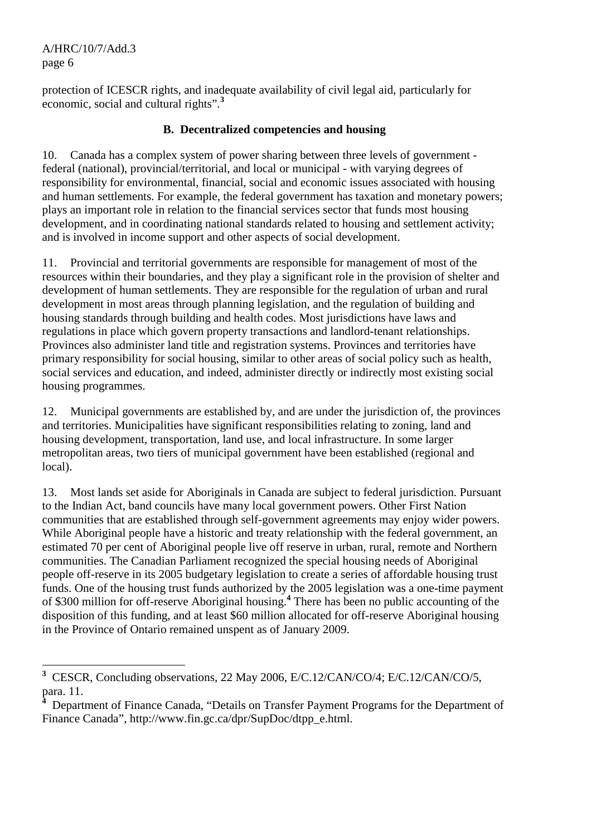protection of ICESCR rights, and inadequate availability of civil legal aid, particularly for economic, social and cultural rights".**<sup>3</sup>**

#### **B. Decentralized competencies and housing**

10. Canada has a complex system of power sharing between three levels of government federal (national), provincial/territorial, and local or municipal - with varying degrees of responsibility for environmental, financial, social and economic issues associated with housing and human settlements. For example, the federal government has taxation and monetary powers; plays an important role in relation to the financial services sector that funds most housing development, and in coordinating national standards related to housing and settlement activity; and is involved in income support and other aspects of social development.

11. Provincial and territorial governments are responsible for management of most of the resources within their boundaries, and they play a significant role in the provision of shelter and development of human settlements. They are responsible for the regulation of urban and rural development in most areas through planning legislation, and the regulation of building and housing standards through building and health codes. Most jurisdictions have laws and regulations in place which govern property transactions and landlord-tenant relationships. Provinces also administer land title and registration systems. Provinces and territories have primary responsibility for social housing, similar to other areas of social policy such as health, social services and education, and indeed, administer directly or indirectly most existing social housing programmes.

12. Municipal governments are established by, and are under the jurisdiction of, the provinces and territories. Municipalities have significant responsibilities relating to zoning, land and housing development, transportation, land use, and local infrastructure. In some larger metropolitan areas, two tiers of municipal government have been established (regional and local).

13. Most lands set aside for Aboriginals in Canada are subject to federal jurisdiction. Pursuant to the Indian Act, band councils have many local government powers. Other First Nation communities that are established through self-government agreements may enjoy wider powers. While Aboriginal people have a historic and treaty relationship with the federal government, an estimated 70 per cent of Aboriginal people live off reserve in urban, rural, remote and Northern communities. The Canadian Parliament recognized the special housing needs of Aboriginal people off-reserve in its 2005 budgetary legislation to create a series of affordable housing trust funds. One of the housing trust funds authorized by the 2005 legislation was a one-time payment of \$300 million for off-reserve Aboriginal housing.**<sup>4</sup>** There has been no public accounting of the disposition of this funding, and at least \$60 million allocated for off-reserve Aboriginal housing in the Province of Ontario remained unspent as of January 2009.

 **3** CESCR, Concluding observations, 22 May 2006, E/C.12/CAN/CO/4; E/C.12/CAN/CO/5, para. 11. **4**

Department of Finance Canada, "Details on Transfer Payment Programs for the Department of Finance Canada", http://www.fin.gc.ca/dpr/SupDoc/dtpp\_e.html.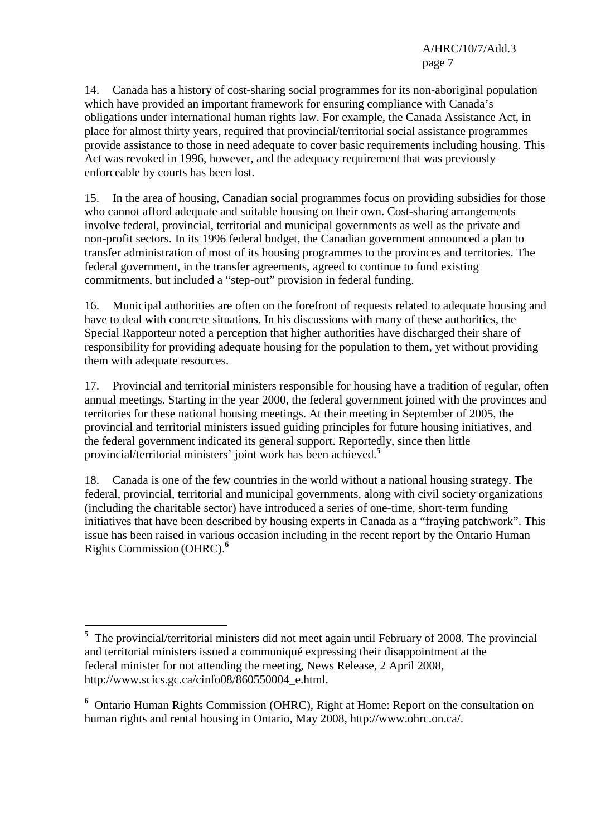14. Canada has a history of cost-sharing social programmes for its non-aboriginal population which have provided an important framework for ensuring compliance with Canada's obligations under international human rights law. For example, the Canada Assistance Act, in place for almost thirty years, required that provincial/territorial social assistance programmes provide assistance to those in need adequate to cover basic requirements including housing. This Act was revoked in 1996, however, and the adequacy requirement that was previously enforceable by courts has been lost.

15. In the area of housing, Canadian social programmes focus on providing subsidies for those who cannot afford adequate and suitable housing on their own. Cost-sharing arrangements involve federal, provincial, territorial and municipal governments as well as the private and non-profit sectors. In its 1996 federal budget, the Canadian government announced a plan to transfer administration of most of its housing programmes to the provinces and territories. The federal government, in the transfer agreements, agreed to continue to fund existing commitments, but included a "step-out" provision in federal funding.

16. Municipal authorities are often on the forefront of requests related to adequate housing and have to deal with concrete situations. In his discussions with many of these authorities, the Special Rapporteur noted a perception that higher authorities have discharged their share of responsibility for providing adequate housing for the population to them, yet without providing them with adequate resources.

17. Provincial and territorial ministers responsible for housing have a tradition of regular, often annual meetings. Starting in the year 2000, the federal government joined with the provinces and territories for these national housing meetings. At their meeting in September of 2005, the provincial and territorial ministers issued guiding principles for future housing initiatives, and the federal government indicated its general support. Reportedly, since then little provincial/territorial ministers' joint work has been achieved.**<sup>5</sup>**

18. Canada is one of the few countries in the world without a national housing strategy. The federal, provincial, territorial and municipal governments, along with civil society organizations (including the charitable sector) have introduced a series of one-time, short-term funding initiatives that have been described by housing experts in Canada as a "fraying patchwork". This issue has been raised in various occasion including in the recent report by the Ontario Human Rights Commission (OHRC).**<sup>6</sup>**

<sup>&</sup>lt;sup>5</sup> The provincial/territorial ministers did not meet again until February of 2008. The provincial and territorial ministers issued a communiqué expressing their disappointment at the federal minister for not attending the meeting, News Release, 2 April 2008, http://www.scics.gc.ca/cinfo08/860550004\_e.html.

**<sup>6</sup>** Ontario Human Rights Commission (OHRC), Right at Home: Report on the consultation on human rights and rental housing in Ontario, May 2008, http://www.ohrc.on.ca/.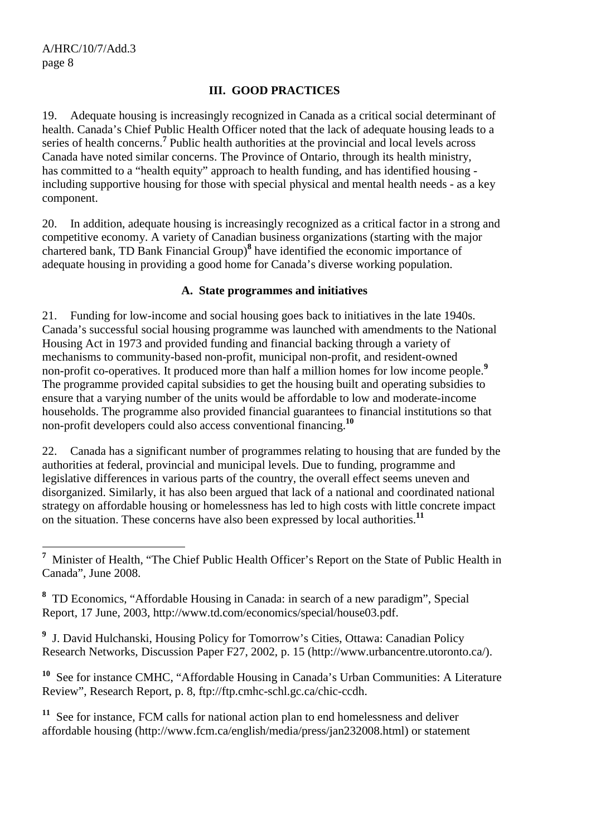#### **III. GOOD PRACTICES**

19. Adequate housing is increasingly recognized in Canada as a critical social determinant of health. Canada's Chief Public Health Officer noted that the lack of adequate housing leads to a series of health concerns.**<sup>7</sup>** Public health authorities at the provincial and local levels across Canada have noted similar concerns. The Province of Ontario, through its health ministry, has committed to a "health equity" approach to health funding, and has identified housing including supportive housing for those with special physical and mental health needs - as a key component.

20. In addition, adequate housing is increasingly recognized as a critical factor in a strong and competitive economy. A variety of Canadian business organizations (starting with the major chartered bank, TD Bank Financial Group)**<sup>8</sup>** have identified the economic importance of adequate housing in providing a good home for Canada's diverse working population.

#### **A. State programmes and initiatives**

21. Funding for low-income and social housing goes back to initiatives in the late 1940s. Canada's successful social housing programme was launched with amendments to the National Housing Act in 1973 and provided funding and financial backing through a variety of mechanisms to community-based non-profit, municipal non-profit, and resident-owned non-profit co-operatives. It produced more than half a million homes for low income people.**<sup>9</sup>** The programme provided capital subsidies to get the housing built and operating subsidies to ensure that a varying number of the units would be affordable to low and moderate-income households. The programme also provided financial guarantees to financial institutions so that non-profit developers could also access conventional financing.**<sup>10</sup>**

22. Canada has a significant number of programmes relating to housing that are funded by the authorities at federal, provincial and municipal levels. Due to funding, programme and legislative differences in various parts of the country, the overall effect seems uneven and disorganized. Similarly, it has also been argued that lack of a national and coordinated national strategy on affordable housing or homelessness has led to high costs with little concrete impact on the situation. These concerns have also been expressed by local authorities.**<sup>11</sup>**

**9** J. David Hulchanski, Housing Policy for Tomorrow's Cities, Ottawa: Canadian Policy Research Networks, Discussion Paper F27, 2002, p. 15 (http://www.urbancentre.utoronto.ca/).

**<sup>10</sup>** See for instance CMHC, "Affordable Housing in Canada's Urban Communities: A Literature Review", Research Report, p. 8, ftp://ftp.cmhc-schl.gc.ca/chic-ccdh.

**<sup>11</sup>** See for instance, FCM calls for national action plan to end homelessness and deliver affordable housing (http://www.fcm.ca/english/media/press/jan232008.html) or statement

<sup>&</sup>lt;sup>7</sup> Minister of Health, "The Chief Public Health Officer's Report on the State of Public Health in Canada", June 2008.

**<sup>8</sup>** TD Economics, "Affordable Housing in Canada: in search of a new paradigm", Special Report, 17 June, 2003, http://www.td.com/economics/special/house03.pdf.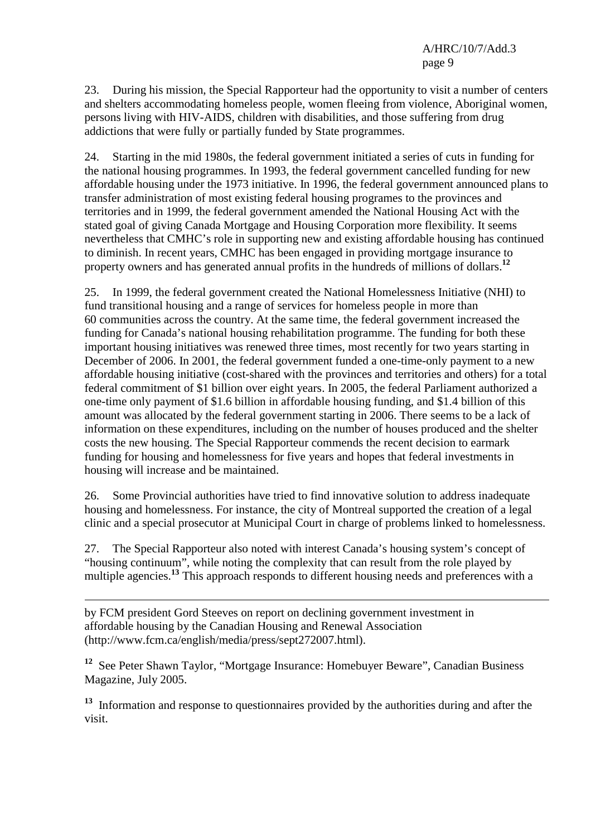23. During his mission, the Special Rapporteur had the opportunity to visit a number of centers and shelters accommodating homeless people, women fleeing from violence, Aboriginal women, persons living with HIV-AIDS, children with disabilities, and those suffering from drug addictions that were fully or partially funded by State programmes.

24. Starting in the mid 1980s, the federal government initiated a series of cuts in funding for the national housing programmes. In 1993, the federal government cancelled funding for new affordable housing under the 1973 initiative. In 1996, the federal government announced plans to transfer administration of most existing federal housing programes to the provinces and territories and in 1999, the federal government amended the National Housing Act with the stated goal of giving Canada Mortgage and Housing Corporation more flexibility. It seems nevertheless that CMHC's role in supporting new and existing affordable housing has continued to diminish. In recent years, CMHC has been engaged in providing mortgage insurance to property owners and has generated annual profits in the hundreds of millions of dollars.**<sup>12</sup>**

25. In 1999, the federal government created the National Homelessness Initiative (NHI) to fund transitional housing and a range of services for homeless people in more than 60 communities across the country. At the same time, the federal government increased the funding for Canada's national housing rehabilitation programme. The funding for both these important housing initiatives was renewed three times, most recently for two years starting in December of 2006. In 2001, the federal government funded a one-time-only payment to a new affordable housing initiative (cost-shared with the provinces and territories and others) for a total federal commitment of \$1 billion over eight years. In 2005, the federal Parliament authorized a one-time only payment of \$1.6 billion in affordable housing funding, and \$1.4 billion of this amount was allocated by the federal government starting in 2006. There seems to be a lack of information on these expenditures, including on the number of houses produced and the shelter costs the new housing. The Special Rapporteur commends the recent decision to earmark funding for housing and homelessness for five years and hopes that federal investments in housing will increase and be maintained.

26. Some Provincial authorities have tried to find innovative solution to address inadequate housing and homelessness. For instance, the city of Montreal supported the creation of a legal clinic and a special prosecutor at Municipal Court in charge of problems linked to homelessness.

27. The Special Rapporteur also noted with interest Canada's housing system's concept of "housing continuum", while noting the complexity that can result from the role played by multiple agencies.**<sup>13</sup>** This approach responds to different housing needs and preferences with a

by FCM president Gord Steeves on report on declining government investment in affordable housing by the Canadian Housing and Renewal Association (http://www.fcm.ca/english/media/press/sept272007.html).

<sup>12</sup> See Peter Shawn Taylor, "Mortgage Insurance: Homebuyer Beware", Canadian Business Magazine, July 2005.

**<sup>13</sup>** Information and response to questionnaires provided by the authorities during and after the visit.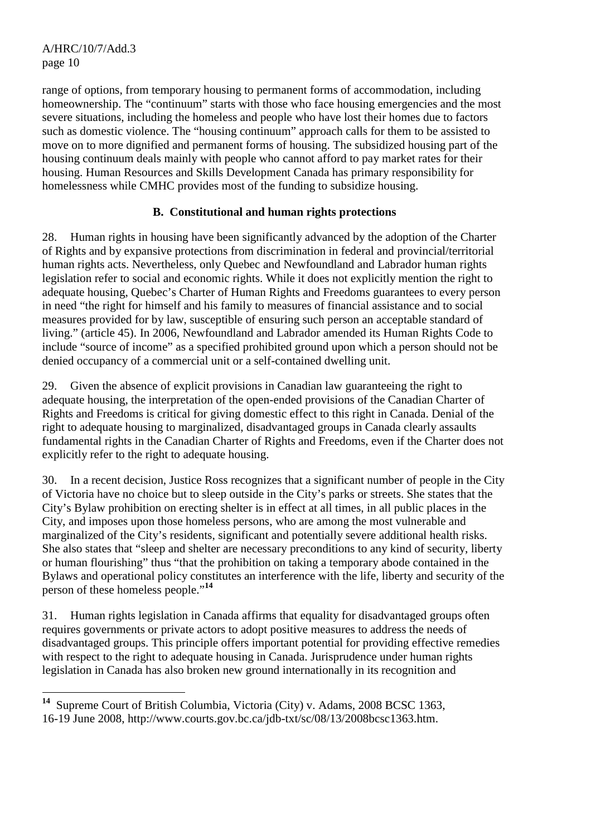range of options, from temporary housing to permanent forms of accommodation, including homeownership. The "continuum" starts with those who face housing emergencies and the most severe situations, including the homeless and people who have lost their homes due to factors such as domestic violence. The "housing continuum" approach calls for them to be assisted to move on to more dignified and permanent forms of housing. The subsidized housing part of the housing continuum deals mainly with people who cannot afford to pay market rates for their housing. Human Resources and Skills Development Canada has primary responsibility for homelessness while CMHC provides most of the funding to subsidize housing.

#### **B. Constitutional and human rights protections**

28. Human rights in housing have been significantly advanced by the adoption of the Charter of Rights and by expansive protections from discrimination in federal and provincial/territorial human rights acts. Nevertheless, only Quebec and Newfoundland and Labrador human rights legislation refer to social and economic rights. While it does not explicitly mention the right to adequate housing, Quebec's Charter of Human Rights and Freedoms guarantees to every person in need "the right for himself and his family to measures of financial assistance and to social measures provided for by law, susceptible of ensuring such person an acceptable standard of living." (article 45). In 2006, Newfoundland and Labrador amended its Human Rights Code to include "source of income" as a specified prohibited ground upon which a person should not be denied occupancy of a commercial unit or a self-contained dwelling unit.

29. Given the absence of explicit provisions in Canadian law guaranteeing the right to adequate housing, the interpretation of the open-ended provisions of the Canadian Charter of Rights and Freedoms is critical for giving domestic effect to this right in Canada. Denial of the right to adequate housing to marginalized, disadvantaged groups in Canada clearly assaults fundamental rights in the Canadian Charter of Rights and Freedoms, even if the Charter does not explicitly refer to the right to adequate housing.

30. In a recent decision, Justice Ross recognizes that a significant number of people in the City of Victoria have no choice but to sleep outside in the City's parks or streets. She states that the City's Bylaw prohibition on erecting shelter is in effect at all times, in all public places in the City, and imposes upon those homeless persons, who are among the most vulnerable and marginalized of the City's residents, significant and potentially severe additional health risks. She also states that "sleep and shelter are necessary preconditions to any kind of security, liberty or human flourishing" thus "that the prohibition on taking a temporary abode contained in the Bylaws and operational policy constitutes an interference with the life, liberty and security of the person of these homeless people."**<sup>14</sup>**

31. Human rights legislation in Canada affirms that equality for disadvantaged groups often requires governments or private actors to adopt positive measures to address the needs of disadvantaged groups. This principle offers important potential for providing effective remedies with respect to the right to adequate housing in Canada. Jurisprudence under human rights legislation in Canada has also broken new ground internationally in its recognition and

 $\overline{a}$ **<sup>14</sup>** Supreme Court of British Columbia, Victoria (City) v. Adams, 2008 BCSC 1363, 16-19 June 2008, http://www.courts.gov.bc.ca/jdb-txt/sc/08/13/2008bcsc1363.htm.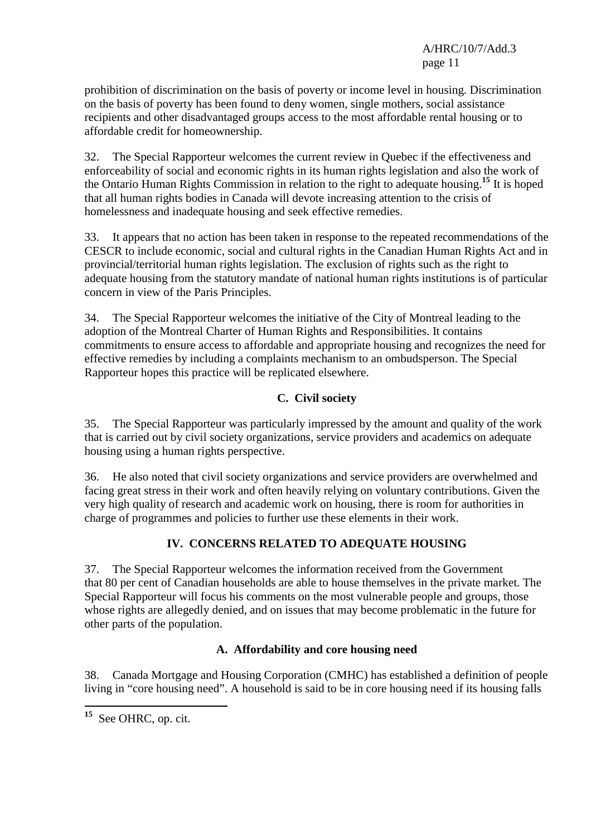prohibition of discrimination on the basis of poverty or income level in housing. Discrimination on the basis of poverty has been found to deny women, single mothers, social assistance recipients and other disadvantaged groups access to the most affordable rental housing or to affordable credit for homeownership.

32. The Special Rapporteur welcomes the current review in Quebec if the effectiveness and enforceability of social and economic rights in its human rights legislation and also the work of the Ontario Human Rights Commission in relation to the right to adequate housing.**<sup>15</sup>** It is hoped that all human rights bodies in Canada will devote increasing attention to the crisis of homelessness and inadequate housing and seek effective remedies.

33. It appears that no action has been taken in response to the repeated recommendations of the CESCR to include economic, social and cultural rights in the Canadian Human Rights Act and in provincial/territorial human rights legislation. The exclusion of rights such as the right to adequate housing from the statutory mandate of national human rights institutions is of particular concern in view of the Paris Principles.

34. The Special Rapporteur welcomes the initiative of the City of Montreal leading to the adoption of the Montreal Charter of Human Rights and Responsibilities. It contains commitments to ensure access to affordable and appropriate housing and recognizes the need for effective remedies by including a complaints mechanism to an ombudsperson. The Special Rapporteur hopes this practice will be replicated elsewhere.

#### **C. Civil society**

35. The Special Rapporteur was particularly impressed by the amount and quality of the work that is carried out by civil society organizations, service providers and academics on adequate housing using a human rights perspective.

36. He also noted that civil society organizations and service providers are overwhelmed and facing great stress in their work and often heavily relying on voluntary contributions. Given the very high quality of research and academic work on housing, there is room for authorities in charge of programmes and policies to further use these elements in their work.

## **IV. CONCERNS RELATED TO ADEQUATE HOUSING**

37. The Special Rapporteur welcomes the information received from the Government that 80 per cent of Canadian households are able to house themselves in the private market. The Special Rapporteur will focus his comments on the most vulnerable people and groups, those whose rights are allegedly denied, and on issues that may become problematic in the future for other parts of the population.

## **A. Affordability and core housing need**

38. Canada Mortgage and Housing Corporation (CMHC) has established a definition of people living in "core housing need". A household is said to be in core housing need if its housing falls

 $\overline{a}$ 

**<sup>15</sup>** See OHRC, op. cit.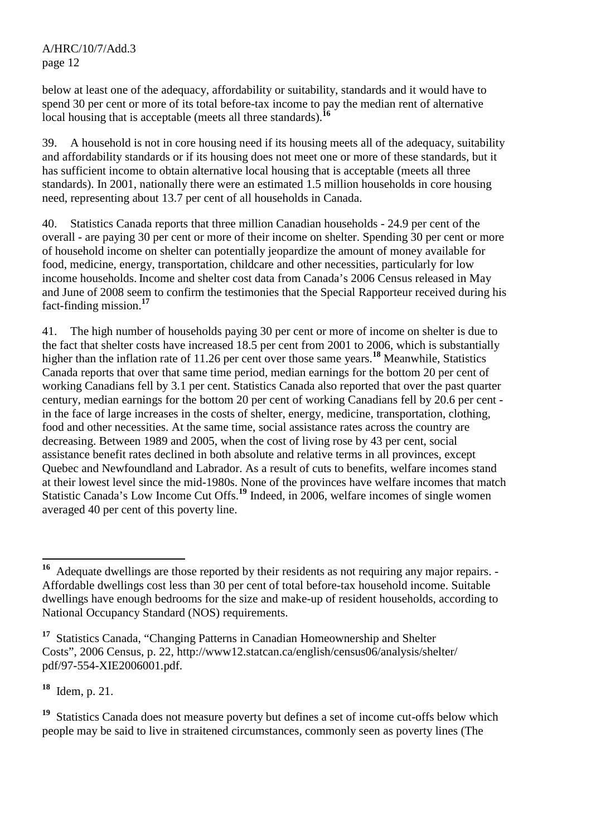below at least one of the adequacy, affordability or suitability, standards and it would have to spend 30 per cent or more of its total before-tax income to pay the median rent of alternative local housing that is acceptable (meets all three standards).<sup>16</sup>

39. A household is not in core housing need if its housing meets all of the adequacy, suitability and affordability standards or if its housing does not meet one or more of these standards, but it has sufficient income to obtain alternative local housing that is acceptable (meets all three standards). In 2001, nationally there were an estimated 1.5 million households in core housing need, representing about 13.7 per cent of all households in Canada.

40. Statistics Canada reports that three million Canadian households - 24.9 per cent of the overall - are paying 30 per cent or more of their income on shelter. Spending 30 per cent or more of household income on shelter can potentially jeopardize the amount of money available for food, medicine, energy, transportation, childcare and other necessities, particularly for low income households. Income and shelter cost data from Canada's 2006 Census released in May and June of 2008 seem to confirm the testimonies that the Special Rapporteur received during his fact-finding mission.**<sup>17</sup>**

41. The high number of households paying 30 per cent or more of income on shelter is due to the fact that shelter costs have increased 18.5 per cent from 2001 to 2006, which is substantially higher than the inflation rate of 11.26 per cent over those same years.**<sup>18</sup>** Meanwhile, Statistics Canada reports that over that same time period, median earnings for the bottom 20 per cent of working Canadians fell by 3.1 per cent. Statistics Canada also reported that over the past quarter century, median earnings for the bottom 20 per cent of working Canadians fell by 20.6 per cent in the face of large increases in the costs of shelter, energy, medicine, transportation, clothing, food and other necessities. At the same time, social assistance rates across the country are decreasing. Between 1989 and 2005, when the cost of living rose by 43 per cent, social assistance benefit rates declined in both absolute and relative terms in all provinces, except Quebec and Newfoundland and Labrador. As a result of cuts to benefits, welfare incomes stand at their lowest level since the mid-1980s. None of the provinces have welfare incomes that match Statistic Canada's Low Income Cut Offs.**<sup>19</sup>** Indeed, in 2006, welfare incomes of single women averaged 40 per cent of this poverty line.

**<sup>18</sup>** Idem, p. 21.

 $\overline{a}$ 

<sup>19</sup> Statistics Canada does not measure poverty but defines a set of income cut-offs below which people may be said to live in straitened circumstances, commonly seen as poverty lines (The

**<sup>16</sup>** Adequate dwellings are those reported by their residents as not requiring any major repairs. - Affordable dwellings cost less than 30 per cent of total before-tax household income. Suitable dwellings have enough bedrooms for the size and make-up of resident households, according to National Occupancy Standard (NOS) requirements.

**<sup>17</sup>** Statistics Canada, "Changing Patterns in Canadian Homeownership and Shelter Costs", 2006 Census, p. 22, http://www12.statcan.ca/english/census06/analysis/shelter/ pdf/97-554-XIE2006001.pdf.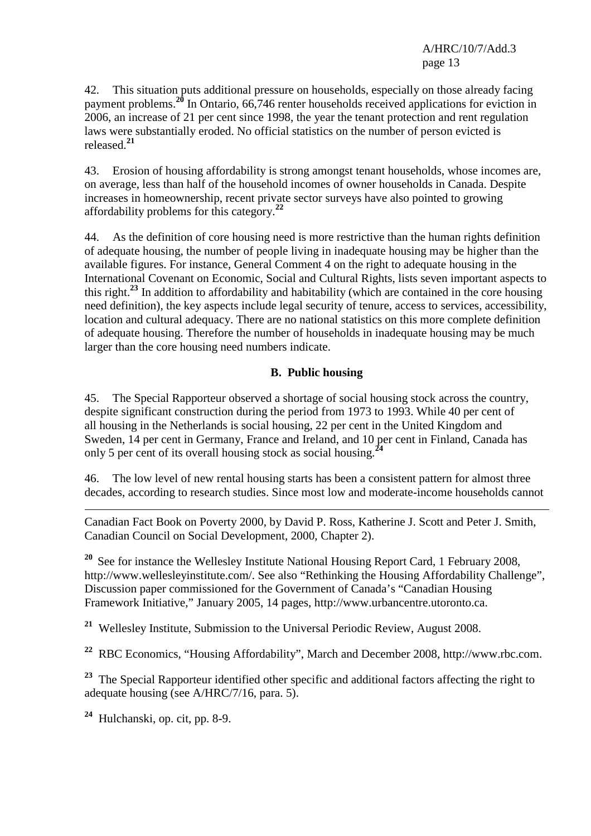42. This situation puts additional pressure on households, especially on those already facing payment problems.**<sup>20</sup>** In Ontario, 66,746 renter households received applications for eviction in 2006, an increase of 21 per cent since 1998, the year the tenant protection and rent regulation laws were substantially eroded. No official statistics on the number of person evicted is released.**<sup>21</sup>**

43. Erosion of housing affordability is strong amongst tenant households, whose incomes are, on average, less than half of the household incomes of owner households in Canada. Despite increases in homeownership, recent private sector surveys have also pointed to growing affordability problems for this category.**<sup>22</sup>**

44. As the definition of core housing need is more restrictive than the human rights definition of adequate housing, the number of people living in inadequate housing may be higher than the available figures. For instance, General Comment 4 on the right to adequate housing in the International Covenant on Economic, Social and Cultural Rights, lists seven important aspects to this right.**<sup>23</sup>** In addition to affordability and habitability (which are contained in the core housing need definition), the key aspects include legal security of tenure, access to services, accessibility, location and cultural adequacy. There are no national statistics on this more complete definition of adequate housing. Therefore the number of households in inadequate housing may be much larger than the core housing need numbers indicate.

#### **B. Public housing**

45. The Special Rapporteur observed a shortage of social housing stock across the country, despite significant construction during the period from 1973 to 1993. While 40 per cent of all housing in the Netherlands is social housing, 22 per cent in the United Kingdom and Sweden, 14 per cent in Germany, France and Ireland, and 10 per cent in Finland, Canada has only 5 per cent of its overall housing stock as social housing.**<sup>24</sup>**

46. The low level of new rental housing starts has been a consistent pattern for almost three decades, according to research studies. Since most low and moderate-income households cannot

-Canadian Fact Book on Poverty 2000, by David P. Ross, Katherine J. Scott and Peter J. Smith, Canadian Council on Social Development, 2000, Chapter 2).

<sup>20</sup> See for instance the Wellesley Institute National Housing Report Card, 1 February 2008, http://www.wellesleyinstitute.com/. See also "Rethinking the Housing Affordability Challenge", Discussion paper commissioned for the Government of Canada's "Canadian Housing Framework Initiative," January 2005, 14 pages, http://www.urbancentre.utoronto.ca.

**<sup>21</sup>** Wellesley Institute, Submission to the Universal Periodic Review, August 2008.

**<sup>22</sup>** RBC Economics, "Housing Affordability", March and December 2008, http://www.rbc.com.

**<sup>23</sup>** The Special Rapporteur identified other specific and additional factors affecting the right to adequate housing (see A/HRC/7/16, para. 5).

**<sup>24</sup>** Hulchanski, op. cit, pp. 8-9.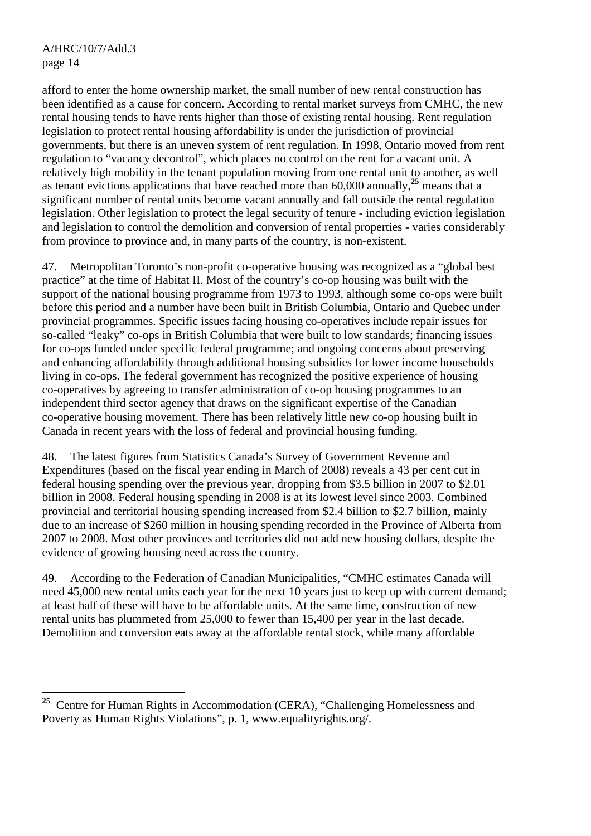afford to enter the home ownership market, the small number of new rental construction has been identified as a cause for concern. According to rental market surveys from CMHC, the new rental housing tends to have rents higher than those of existing rental housing. Rent regulation legislation to protect rental housing affordability is under the jurisdiction of provincial governments, but there is an uneven system of rent regulation. In 1998, Ontario moved from rent regulation to "vacancy decontrol", which places no control on the rent for a vacant unit. A relatively high mobility in the tenant population moving from one rental unit to another, as well as tenant evictions applications that have reached more than 60,000 annually,**<sup>25</sup>** means that a significant number of rental units become vacant annually and fall outside the rental regulation legislation. Other legislation to protect the legal security of tenure - including eviction legislation and legislation to control the demolition and conversion of rental properties - varies considerably from province to province and, in many parts of the country, is non-existent.

47. Metropolitan Toronto's non-profit co-operative housing was recognized as a "global best practice" at the time of Habitat II. Most of the country's co-op housing was built with the support of the national housing programme from 1973 to 1993, although some co-ops were built before this period and a number have been built in British Columbia, Ontario and Quebec under provincial programmes. Specific issues facing housing co-operatives include repair issues for so-called "leaky" co-ops in British Columbia that were built to low standards; financing issues for co-ops funded under specific federal programme; and ongoing concerns about preserving and enhancing affordability through additional housing subsidies for lower income households living in co-ops. The federal government has recognized the positive experience of housing co-operatives by agreeing to transfer administration of co-op housing programmes to an independent third sector agency that draws on the significant expertise of the Canadian co-operative housing movement. There has been relatively little new co-op housing built in Canada in recent years with the loss of federal and provincial housing funding.

48. The latest figures from Statistics Canada's Survey of Government Revenue and Expenditures (based on the fiscal year ending in March of 2008) reveals a 43 per cent cut in federal housing spending over the previous year, dropping from \$3.5 billion in 2007 to \$2.01 billion in 2008. Federal housing spending in 2008 is at its lowest level since 2003. Combined provincial and territorial housing spending increased from \$2.4 billion to \$2.7 billion, mainly due to an increase of \$260 million in housing spending recorded in the Province of Alberta from 2007 to 2008. Most other provinces and territories did not add new housing dollars, despite the evidence of growing housing need across the country.

49. According to the Federation of Canadian Municipalities, "CMHC estimates Canada will need 45,000 new rental units each year for the next 10 years just to keep up with current demand; at least half of these will have to be affordable units. At the same time, construction of new rental units has plummeted from 25,000 to fewer than 15,400 per year in the last decade. Demolition and conversion eats away at the affordable rental stock, while many affordable

 $\overline{a}$ <sup>25</sup> Centre for Human Rights in Accommodation (CERA), "Challenging Homelessness and Poverty as Human Rights Violations", p. 1, www.equalityrights.org/.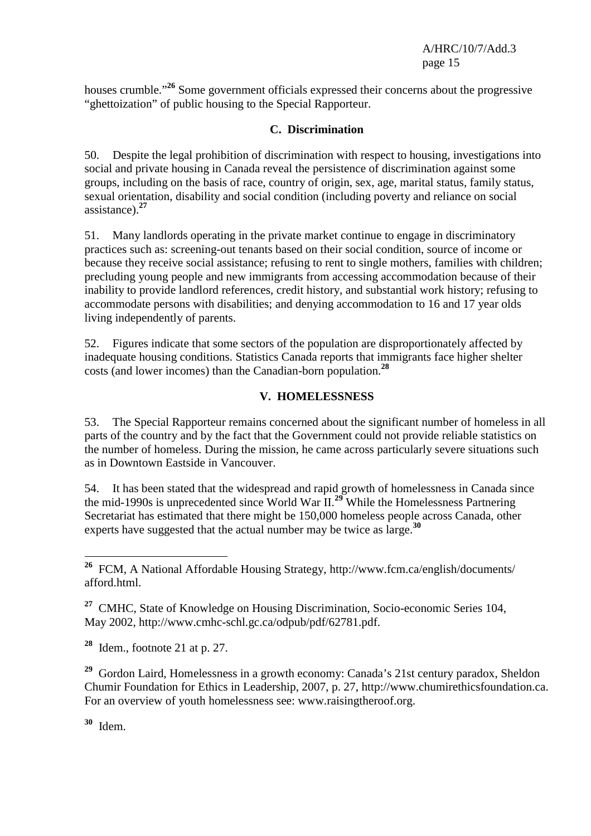houses crumble."**<sup>26</sup>** Some government officials expressed their concerns about the progressive "ghettoization" of public housing to the Special Rapporteur.

#### **C. Discrimination**

50. Despite the legal prohibition of discrimination with respect to housing, investigations into social and private housing in Canada reveal the persistence of discrimination against some groups, including on the basis of race, country of origin, sex, age, marital status, family status, sexual orientation, disability and social condition (including poverty and reliance on social assistance).**<sup>27</sup>**

51. Many landlords operating in the private market continue to engage in discriminatory practices such as: screening-out tenants based on their social condition, source of income or because they receive social assistance; refusing to rent to single mothers, families with children; precluding young people and new immigrants from accessing accommodation because of their inability to provide landlord references, credit history, and substantial work history; refusing to accommodate persons with disabilities; and denying accommodation to 16 and 17 year olds living independently of parents.

52. Figures indicate that some sectors of the population are disproportionately affected by inadequate housing conditions. Statistics Canada reports that immigrants face higher shelter costs (and lower incomes) than the Canadian-born population.**<sup>28</sup>**

## **V. HOMELESSNESS**

53. The Special Rapporteur remains concerned about the significant number of homeless in all parts of the country and by the fact that the Government could not provide reliable statistics on the number of homeless. During the mission, he came across particularly severe situations such as in Downtown Eastside in Vancouver.

54. It has been stated that the widespread and rapid growth of homelessness in Canada since the mid-1990s is unprecedented since World War II.**<sup>29</sup>** While the Homelessness Partnering Secretariat has estimated that there might be 150,000 homeless people across Canada, other experts have suggested that the actual number may be twice as large.**<sup>30</sup>**

**<sup>28</sup>** Idem., footnote 21 at p. 27.

**<sup>29</sup>** Gordon Laird, Homelessness in a growth economy: Canada's 21st century paradox, Sheldon Chumir Foundation for Ethics in Leadership, 2007, p. 27, http://www.chumirethicsfoundation.ca. For an overview of youth homelessness see: www.raisingtheroof.org.

**<sup>30</sup>** Idem.

 $\overline{a}$ 

**<sup>26</sup>** FCM, A National Affordable Housing Strategy, http://www.fcm.ca/english/documents/ afford.html.

**<sup>27</sup>** CMHC, State of Knowledge on Housing Discrimination, Socio-economic Series 104, May 2002, http://www.cmhc-schl.gc.ca/odpub/pdf/62781.pdf.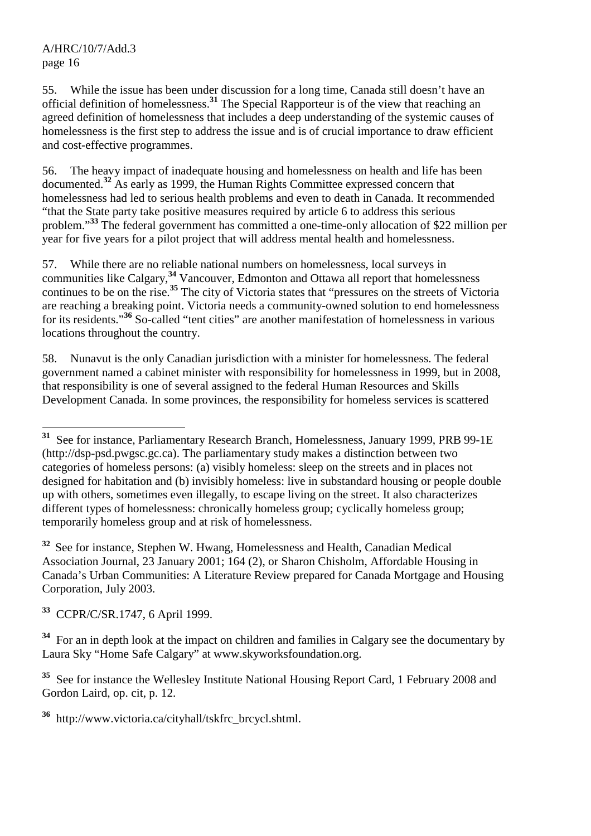55. While the issue has been under discussion for a long time, Canada still doesn't have an official definition of homelessness.**<sup>31</sup>** The Special Rapporteur is of the view that reaching an agreed definition of homelessness that includes a deep understanding of the systemic causes of homelessness is the first step to address the issue and is of crucial importance to draw efficient and cost-effective programmes.

56. The heavy impact of inadequate housing and homelessness on health and life has been documented.**<sup>32</sup>** As early as 1999, the Human Rights Committee expressed concern that homelessness had led to serious health problems and even to death in Canada. It recommended "that the State party take positive measures required by article 6 to address this serious problem."**<sup>33</sup>** The federal government has committed a one-time-only allocation of \$22 million per year for five years for a pilot project that will address mental health and homelessness.

57. While there are no reliable national numbers on homelessness, local surveys in communities like Calgary,**<sup>34</sup>** Vancouver, Edmonton and Ottawa all report that homelessness continues to be on the rise.**<sup>35</sup>** The city of Victoria states that "pressures on the streets of Victoria are reaching a breaking point. Victoria needs a community-owned solution to end homelessness for its residents."**<sup>36</sup>** So-called "tent cities" are another manifestation of homelessness in various locations throughout the country.

58. Nunavut is the only Canadian jurisdiction with a minister for homelessness. The federal government named a cabinet minister with responsibility for homelessness in 1999, but in 2008, that responsibility is one of several assigned to the federal Human Resources and Skills Development Canada. In some provinces, the responsibility for homeless services is scattered

<sup>32</sup> See for instance, Stephen W. Hwang, Homelessness and Health, Canadian Medical Association Journal, 23 January 2001; 164 (2), or Sharon Chisholm, Affordable Housing in Canada's Urban Communities: A Literature Review prepared for Canada Mortgage and Housing Corporation, July 2003.

**<sup>33</sup>** CCPR/C/SR.1747, 6 April 1999.

<sup>34</sup> For an in depth look at the impact on children and families in Calgary see the documentary by Laura Sky "Home Safe Calgary" at www.skyworksfoundation.org.

<sup>35</sup> See for instance the Wellesley Institute National Housing Report Card, 1 February 2008 and Gordon Laird, op. cit, p. 12.

**<sup>36</sup>** http://www.victoria.ca/cityhall/tskfrc\_brcycl.shtml.

 $\overline{a}$ **<sup>31</sup>** See for instance, Parliamentary Research Branch, Homelessness, January 1999, PRB 99-1E (http://dsp-psd.pwgsc.gc.ca). The parliamentary study makes a distinction between two categories of homeless persons: (a) visibly homeless: sleep on the streets and in places not designed for habitation and (b) invisibly homeless: live in substandard housing or people double up with others, sometimes even illegally, to escape living on the street. It also characterizes different types of homelessness: chronically homeless group; cyclically homeless group; temporarily homeless group and at risk of homelessness.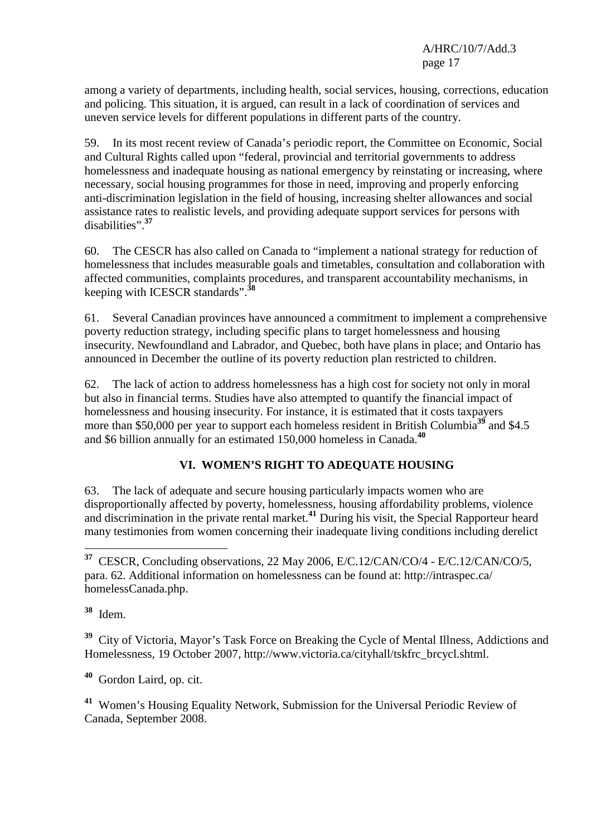among a variety of departments, including health, social services, housing, corrections, education and policing. This situation, it is argued, can result in a lack of coordination of services and uneven service levels for different populations in different parts of the country.

59. In its most recent review of Canada's periodic report, the Committee on Economic, Social and Cultural Rights called upon "federal, provincial and territorial governments to address homelessness and inadequate housing as national emergency by reinstating or increasing, where necessary, social housing programmes for those in need, improving and properly enforcing anti-discrimination legislation in the field of housing, increasing shelter allowances and social assistance rates to realistic levels, and providing adequate support services for persons with disabilities".**<sup>37</sup>**

60. The CESCR has also called on Canada to "implement a national strategy for reduction of homelessness that includes measurable goals and timetables, consultation and collaboration with affected communities, complaints procedures, and transparent accountability mechanisms, in keeping with ICESCR standards".**<sup>38</sup>**

61. Several Canadian provinces have announced a commitment to implement a comprehensive poverty reduction strategy, including specific plans to target homelessness and housing insecurity. Newfoundland and Labrador, and Quebec, both have plans in place; and Ontario has announced in December the outline of its poverty reduction plan restricted to children.

62. The lack of action to address homelessness has a high cost for society not only in moral but also in financial terms. Studies have also attempted to quantify the financial impact of homelessness and housing insecurity. For instance, it is estimated that it costs taxpayers more than \$50,000 per year to support each homeless resident in British Columbia<sup>39</sup> and \$4.5 and \$6 billion annually for an estimated 150,000 homeless in Canada.**<sup>40</sup>**

# **VI. WOMEN'S RIGHT TO ADEQUATE HOUSING**

63. The lack of adequate and secure housing particularly impacts women who are disproportionally affected by poverty, homelessness, housing affordability problems, violence and discrimination in the private rental market.**<sup>41</sup>** During his visit, the Special Rapporteur heard many testimonies from women concerning their inadequate living conditions including derelict

 $\overline{a}$ **<sup>37</sup>** CESCR, Concluding observations, 22 May 2006, E/C.12/CAN/CO/4 - E/C.12/CAN/CO/5, para. 62. Additional information on homelessness can be found at: http://intraspec.ca/ homelessCanada.php.

**<sup>38</sup>** Idem.

**<sup>39</sup>** City of Victoria, Mayor's Task Force on Breaking the Cycle of Mental Illness, Addictions and Homelessness, 19 October 2007, http://www.victoria.ca/cityhall/tskfrc\_brcycl.shtml.

**<sup>40</sup>** Gordon Laird, op. cit.

**<sup>41</sup>** Women's Housing Equality Network, Submission for the Universal Periodic Review of Canada, September 2008.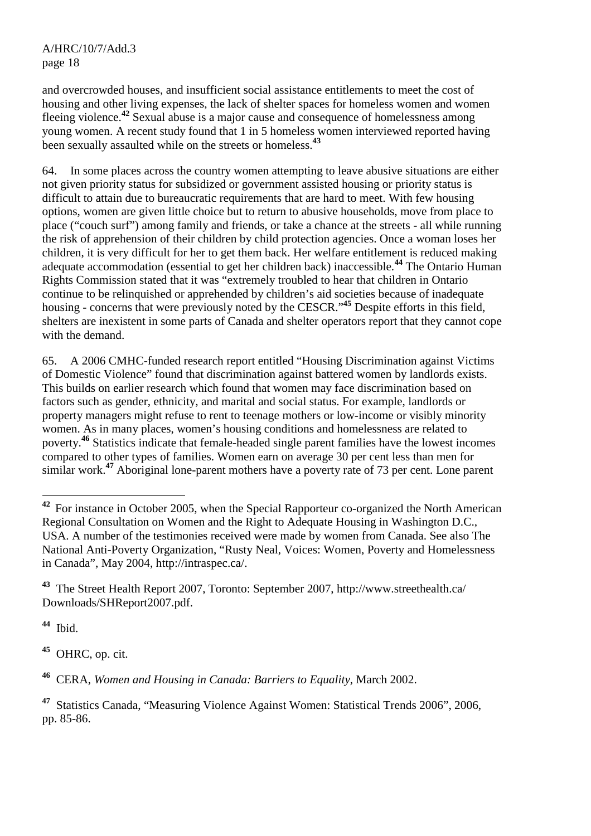and overcrowded houses, and insufficient social assistance entitlements to meet the cost of housing and other living expenses, the lack of shelter spaces for homeless women and women fleeing violence.**<sup>42</sup>** Sexual abuse is a major cause and consequence of homelessness among young women. A recent study found that 1 in 5 homeless women interviewed reported having been sexually assaulted while on the streets or homeless.**<sup>43</sup>**

64. In some places across the country women attempting to leave abusive situations are either not given priority status for subsidized or government assisted housing or priority status is difficult to attain due to bureaucratic requirements that are hard to meet. With few housing options, women are given little choice but to return to abusive households, move from place to place ("couch surf") among family and friends, or take a chance at the streets - all while running the risk of apprehension of their children by child protection agencies. Once a woman loses her children, it is very difficult for her to get them back. Her welfare entitlement is reduced making adequate accommodation (essential to get her children back) inaccessible.**<sup>44</sup>** The Ontario Human Rights Commission stated that it was "extremely troubled to hear that children in Ontario continue to be relinquished or apprehended by children's aid societies because of inadequate housing - concerns that were previously noted by the CESCR."**<sup>45</sup>** Despite efforts in this field, shelters are inexistent in some parts of Canada and shelter operators report that they cannot cope with the demand.

65. A 2006 CMHC-funded research report entitled "Housing Discrimination against Victims of Domestic Violence" found that discrimination against battered women by landlords exists. This builds on earlier research which found that women may face discrimination based on factors such as gender, ethnicity, and marital and social status. For example, landlords or property managers might refuse to rent to teenage mothers or low-income or visibly minority women. As in many places, women's housing conditions and homelessness are related to poverty.**<sup>46</sup>** Statistics indicate that female-headed single parent families have the lowest incomes compared to other types of families. Women earn on average 30 per cent less than men for similar work.**<sup>47</sup>** Aboriginal lone-parent mothers have a poverty rate of 73 per cent. Lone parent

**<sup>43</sup>** The Street Health Report 2007, Toronto: September 2007, http://www.streethealth.ca/ Downloads/SHReport2007.pdf.

**<sup>44</sup>** Ibid.

**<sup>45</sup>** OHRC, op. cit.

**<sup>46</sup>** CERA, *Women and Housing in Canada: Barriers to Equality*, March 2002.

**<sup>47</sup>** Statistics Canada, "Measuring Violence Against Women: Statistical Trends 2006", 2006, pp. 85-86.

 $\overline{a}$ <sup>42</sup> For instance in October 2005, when the Special Rapporteur co-organized the North American Regional Consultation on Women and the Right to Adequate Housing in Washington D.C., USA. A number of the testimonies received were made by women from Canada. See also The National Anti-Poverty Organization, "Rusty Neal, Voices: Women, Poverty and Homelessness in Canada", May 2004, http://intraspec.ca/.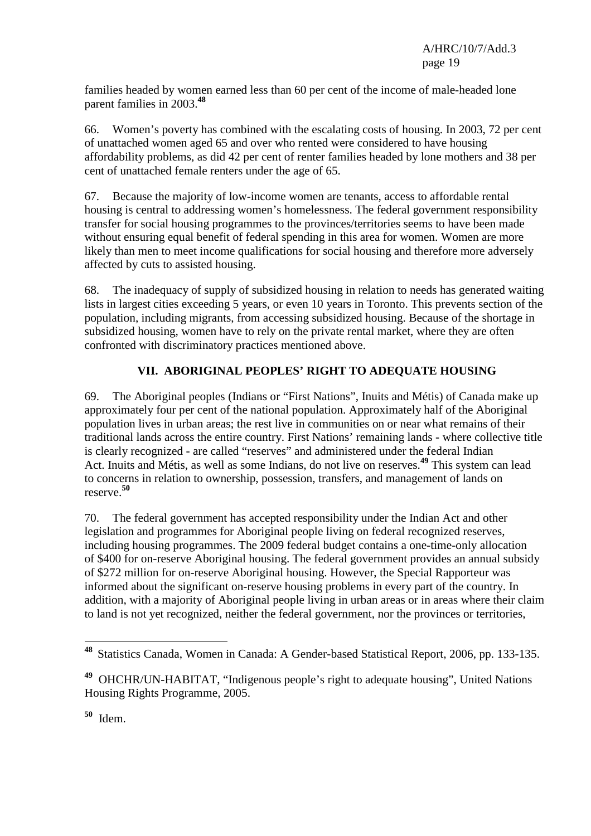families headed by women earned less than 60 per cent of the income of male-headed lone parent families in 2003.**<sup>48</sup>**

66. Women's poverty has combined with the escalating costs of housing. In 2003, 72 per cent of unattached women aged 65 and over who rented were considered to have housing affordability problems, as did 42 per cent of renter families headed by lone mothers and 38 per cent of unattached female renters under the age of 65.

67. Because the majority of low-income women are tenants, access to affordable rental housing is central to addressing women's homelessness. The federal government responsibility transfer for social housing programmes to the provinces/territories seems to have been made without ensuring equal benefit of federal spending in this area for women. Women are more likely than men to meet income qualifications for social housing and therefore more adversely affected by cuts to assisted housing.

68. The inadequacy of supply of subsidized housing in relation to needs has generated waiting lists in largest cities exceeding 5 years, or even 10 years in Toronto. This prevents section of the population, including migrants, from accessing subsidized housing. Because of the shortage in subsidized housing, women have to rely on the private rental market, where they are often confronted with discriminatory practices mentioned above.

# **VII. ABORIGINAL PEOPLES' RIGHT TO ADEQUATE HOUSING**

69. The Aboriginal peoples (Indians or "First Nations", Inuits and Métis) of Canada make up approximately four per cent of the national population. Approximately half of the Aboriginal population lives in urban areas; the rest live in communities on or near what remains of their traditional lands across the entire country. First Nations' remaining lands - where collective title is clearly recognized - are called "reserves" and administered under the federal Indian Act. Inuits and Métis, as well as some Indians, do not live on reserves.**<sup>49</sup>** This system can lead to concerns in relation to ownership, possession, transfers, and management of lands on reserve.**<sup>50</sup>**

70. The federal government has accepted responsibility under the Indian Act and other legislation and programmes for Aboriginal people living on federal recognized reserves, including housing programmes. The 2009 federal budget contains a one-time-only allocation of \$400 for on-reserve Aboriginal housing. The federal government provides an annual subsidy of \$272 million for on-reserve Aboriginal housing. However, the Special Rapporteur was informed about the significant on-reserve housing problems in every part of the country. In addition, with a majority of Aboriginal people living in urban areas or in areas where their claim to land is not yet recognized, neither the federal government, nor the provinces or territories,

<sup>48</sup> Statistics Canada, Women in Canada: A Gender-based Statistical Report, 2006, pp. 133-135.

**<sup>49</sup>** OHCHR/UN-HABITAT, "Indigenous people's right to adequate housing", United Nations Housing Rights Programme, 2005.

**<sup>50</sup>** Idem.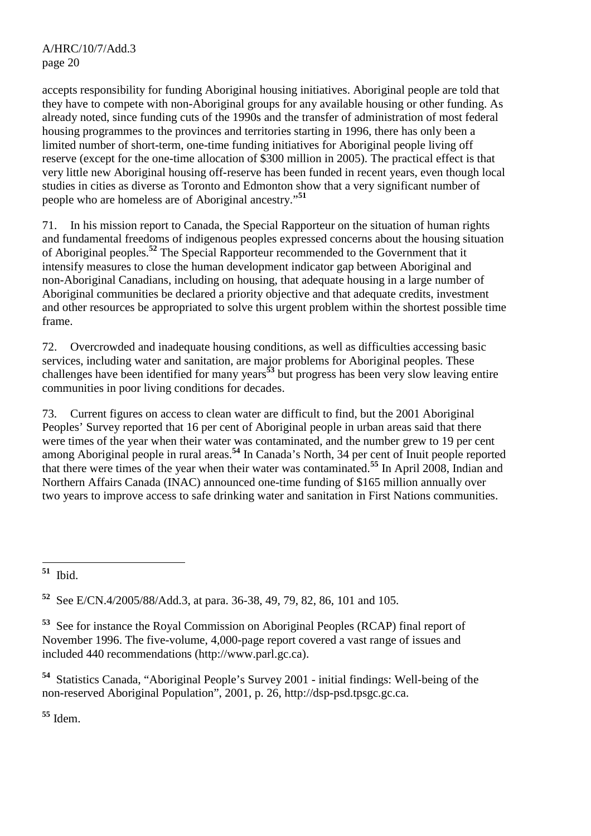accepts responsibility for funding Aboriginal housing initiatives. Aboriginal people are told that they have to compete with non-Aboriginal groups for any available housing or other funding. As already noted, since funding cuts of the 1990s and the transfer of administration of most federal housing programmes to the provinces and territories starting in 1996, there has only been a limited number of short-term, one-time funding initiatives for Aboriginal people living off reserve (except for the one-time allocation of \$300 million in 2005). The practical effect is that very little new Aboriginal housing off-reserve has been funded in recent years, even though local studies in cities as diverse as Toronto and Edmonton show that a very significant number of people who are homeless are of Aboriginal ancestry."**<sup>51</sup>**

71. In his mission report to Canada, the Special Rapporteur on the situation of human rights and fundamental freedoms of indigenous peoples expressed concerns about the housing situation of Aboriginal peoples.**<sup>52</sup>** The Special Rapporteur recommended to the Government that it intensify measures to close the human development indicator gap between Aboriginal and non-Aboriginal Canadians, including on housing, that adequate housing in a large number of Aboriginal communities be declared a priority objective and that adequate credits, investment and other resources be appropriated to solve this urgent problem within the shortest possible time frame.

72. Overcrowded and inadequate housing conditions, as well as difficulties accessing basic services, including water and sanitation, are major problems for Aboriginal peoples. These challenges have been identified for many years**<sup>53</sup>** but progress has been very slow leaving entire communities in poor living conditions for decades.

73. Current figures on access to clean water are difficult to find, but the 2001 Aboriginal Peoples' Survey reported that 16 per cent of Aboriginal people in urban areas said that there were times of the year when their water was contaminated, and the number grew to 19 per cent among Aboriginal people in rural areas.**<sup>54</sup>** In Canada's North, 34 per cent of Inuit people reported that there were times of the year when their water was contaminated.**<sup>55</sup>** In April 2008, Indian and Northern Affairs Canada (INAC) announced one-time funding of \$165 million annually over two years to improve access to safe drinking water and sanitation in First Nations communities.

**<sup>54</sup>** Statistics Canada, "Aboriginal People's Survey 2001 - initial findings: Well-being of the non-reserved Aboriginal Population", 2001, p. 26, http://dsp-psd.tpsgc.gc.ca.

**<sup>55</sup>** Idem.

 ${\bf 51}$ **<sup>51</sup>** Ibid.

**<sup>52</sup>** See E/CN.4/2005/88/Add.3, at para. 36-38, 49, 79, 82, 86, 101 and 105.

**<sup>53</sup>** See for instance the Royal Commission on Aboriginal Peoples (RCAP) final report of November 1996. The five-volume, 4,000-page report covered a vast range of issues and included 440 recommendations (http://www.parl.gc.ca).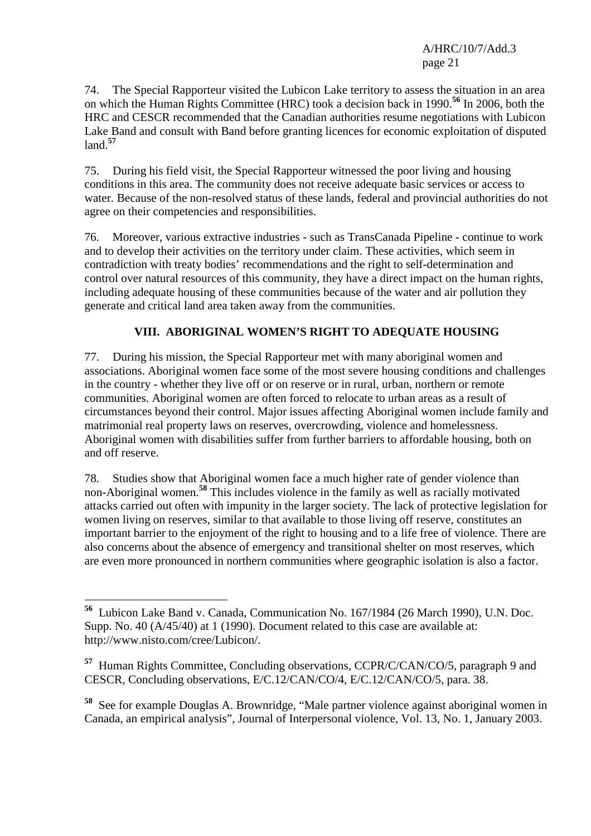74. The Special Rapporteur visited the Lubicon Lake territory to assess the situation in an area on which the Human Rights Committee (HRC) took a decision back in 1990.**<sup>56</sup>** In 2006, both the HRC and CESCR recommended that the Canadian authorities resume negotiations with Lubicon Lake Band and consult with Band before granting licences for economic exploitation of disputed land.**<sup>57</sup>**

75. During his field visit, the Special Rapporteur witnessed the poor living and housing conditions in this area. The community does not receive adequate basic services or access to water. Because of the non-resolved status of these lands, federal and provincial authorities do not agree on their competencies and responsibilities.

76. Moreover, various extractive industries - such as TransCanada Pipeline - continue to work and to develop their activities on the territory under claim. These activities, which seem in contradiction with treaty bodies' recommendations and the right to self-determination and control over natural resources of this community, they have a direct impact on the human rights, including adequate housing of these communities because of the water and air pollution they generate and critical land area taken away from the communities.

# **VIII. ABORIGINAL WOMEN'S RIGHT TO ADEQUATE HOUSING**

77. During his mission, the Special Rapporteur met with many aboriginal women and associations. Aboriginal women face some of the most severe housing conditions and challenges in the country - whether they live off or on reserve or in rural, urban, northern or remote communities. Aboriginal women are often forced to relocate to urban areas as a result of circumstances beyond their control. Major issues affecting Aboriginal women include family and matrimonial real property laws on reserves, overcrowding, violence and homelessness. Aboriginal women with disabilities suffer from further barriers to affordable housing, both on and off reserve.

78. Studies show that Aboriginal women face a much higher rate of gender violence than non-Aboriginal women.**<sup>58</sup>** This includes violence in the family as well as racially motivated attacks carried out often with impunity in the larger society. The lack of protective legislation for women living on reserves, similar to that available to those living off reserve, constitutes an important barrier to the enjoyment of the right to housing and to a life free of violence. There are also concerns about the absence of emergency and transitional shelter on most reserves, which are even more pronounced in northern communities where geographic isolation is also a factor.

 $\overline{a}$ 

**<sup>56</sup>** Lubicon Lake Band v. Canada, Communication No. 167/1984 (26 March 1990), U.N. Doc. Supp. No. 40 (A/45/40) at 1 (1990). Document related to this case are available at: http://www.nisto.com/cree/Lubicon/.

**<sup>57</sup>** Human Rights Committee, Concluding observations, CCPR/C/CAN/CO/5, paragraph 9 and CESCR, Concluding observations, E/C.12/CAN/CO/4, E/C.12/CAN/CO/5, para. 38.

**<sup>58</sup>** See for example Douglas A. Brownridge, "Male partner violence against aboriginal women in Canada, an empirical analysis", Journal of Interpersonal violence, Vol. 13, No. 1, January 2003.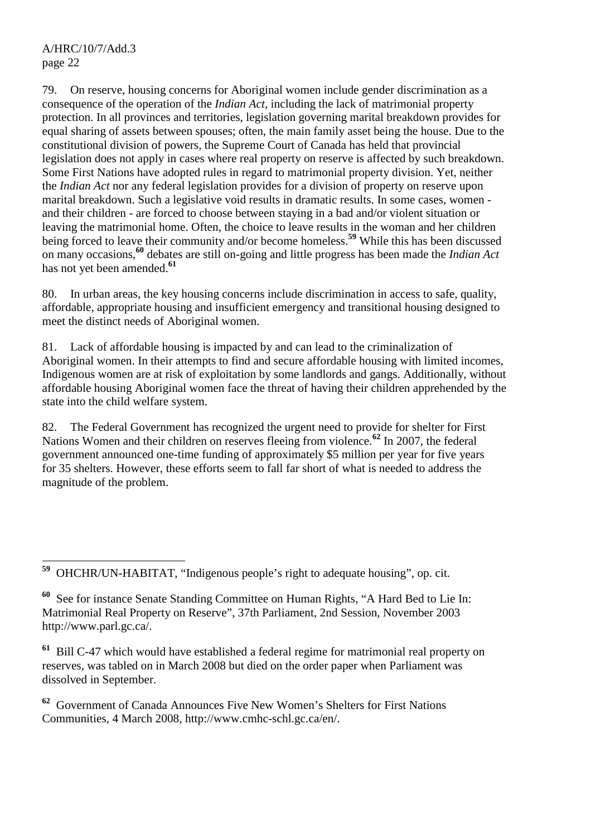79. On reserve, housing concerns for Aboriginal women include gender discrimination as a consequence of the operation of the *Indian Act*, including the lack of matrimonial property protection. In all provinces and territories, legislation governing marital breakdown provides for equal sharing of assets between spouses; often, the main family asset being the house. Due to the constitutional division of powers, the Supreme Court of Canada has held that provincial legislation does not apply in cases where real property on reserve is affected by such breakdown. Some First Nations have adopted rules in regard to matrimonial property division. Yet, neither the *Indian Act* nor any federal legislation provides for a division of property on reserve upon marital breakdown. Such a legislative void results in dramatic results. In some cases, women and their children - are forced to choose between staying in a bad and/or violent situation or leaving the matrimonial home. Often, the choice to leave results in the woman and her children being forced to leave their community and/or become homeless.**<sup>59</sup>** While this has been discussed on many occasions,**<sup>60</sup>** debates are still on-going and little progress has been made the *Indian Act* has not yet been amended.**<sup>61</sup>**

80. In urban areas, the key housing concerns include discrimination in access to safe, quality, affordable, appropriate housing and insufficient emergency and transitional housing designed to meet the distinct needs of Aboriginal women.

81. Lack of affordable housing is impacted by and can lead to the criminalization of Aboriginal women. In their attempts to find and secure affordable housing with limited incomes, Indigenous women are at risk of exploitation by some landlords and gangs. Additionally, without affordable housing Aboriginal women face the threat of having their children apprehended by the state into the child welfare system.

82. The Federal Government has recognized the urgent need to provide for shelter for First Nations Women and their children on reserves fleeing from violence.**<sup>62</sup>** In 2007, the federal government announced one-time funding of approximately \$5 million per year for five years for 35 shelters. However, these efforts seem to fall far short of what is needed to address the magnitude of the problem.

59 **<sup>59</sup>** OHCHR/UN-HABITAT, "Indigenous people's right to adequate housing", op. cit.

**<sup>61</sup>** Bill C-47 which would have established a federal regime for matrimonial real property on reserves, was tabled on in March 2008 but died on the order paper when Parliament was dissolved in September.

**<sup>62</sup>** Government of Canada Announces Five New Women's Shelters for First Nations Communities, 4 March 2008, http://www.cmhc-schl.gc.ca/en/.

**<sup>60</sup>** See for instance Senate Standing Committee on Human Rights, "A Hard Bed to Lie In: Matrimonial Real Property on Reserve", 37th Parliament, 2nd Session, November 2003 http://www.parl.gc.ca/.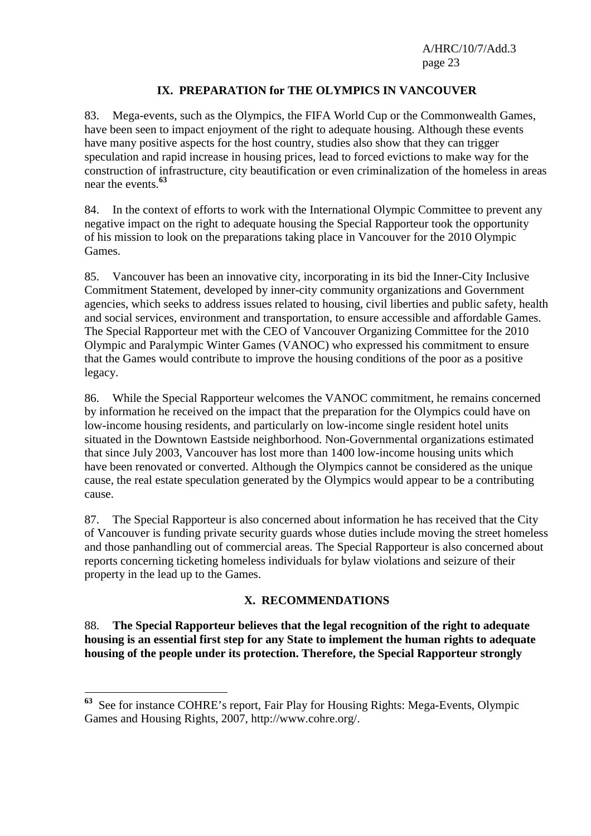#### **IX. PREPARATION for THE OLYMPICS IN VANCOUVER**

83. Mega-events, such as the Olympics, the FIFA World Cup or the Commonwealth Games, have been seen to impact enjoyment of the right to adequate housing. Although these events have many positive aspects for the host country, studies also show that they can trigger speculation and rapid increase in housing prices, lead to forced evictions to make way for the construction of infrastructure, city beautification or even criminalization of the homeless in areas near the events.**<sup>63</sup>**

84. In the context of efforts to work with the International Olympic Committee to prevent any negative impact on the right to adequate housing the Special Rapporteur took the opportunity of his mission to look on the preparations taking place in Vancouver for the 2010 Olympic Games.

85. Vancouver has been an innovative city, incorporating in its bid the Inner-City Inclusive Commitment Statement, developed by inner-city community organizations and Government agencies, which seeks to address issues related to housing, civil liberties and public safety, health and social services, environment and transportation, to ensure accessible and affordable Games. The Special Rapporteur met with the CEO of Vancouver Organizing Committee for the 2010 Olympic and Paralympic Winter Games (VANOC) who expressed his commitment to ensure that the Games would contribute to improve the housing conditions of the poor as a positive legacy.

86. While the Special Rapporteur welcomes the VANOC commitment, he remains concerned by information he received on the impact that the preparation for the Olympics could have on low-income housing residents, and particularly on low-income single resident hotel units situated in the Downtown Eastside neighborhood. Non-Governmental organizations estimated that since July 2003, Vancouver has lost more than 1400 low-income housing units which have been renovated or converted. Although the Olympics cannot be considered as the unique cause, the real estate speculation generated by the Olympics would appear to be a contributing cause.

87. The Special Rapporteur is also concerned about information he has received that the City of Vancouver is funding private security guards whose duties include moving the street homeless and those panhandling out of commercial areas. The Special Rapporteur is also concerned about reports concerning ticketing homeless individuals for bylaw violations and seizure of their property in the lead up to the Games.

#### **X. RECOMMENDATIONS**

88. **The Special Rapporteur believes that the legal recognition of the right to adequate housing is an essential first step for any State to implement the human rights to adequate housing of the people under its protection. Therefore, the Special Rapporteur strongly** 

 $\overline{a}$ 

**<sup>63</sup>** See for instance COHRE's report, Fair Play for Housing Rights: Mega-Events, Olympic Games and Housing Rights, 2007, http://www.cohre.org/.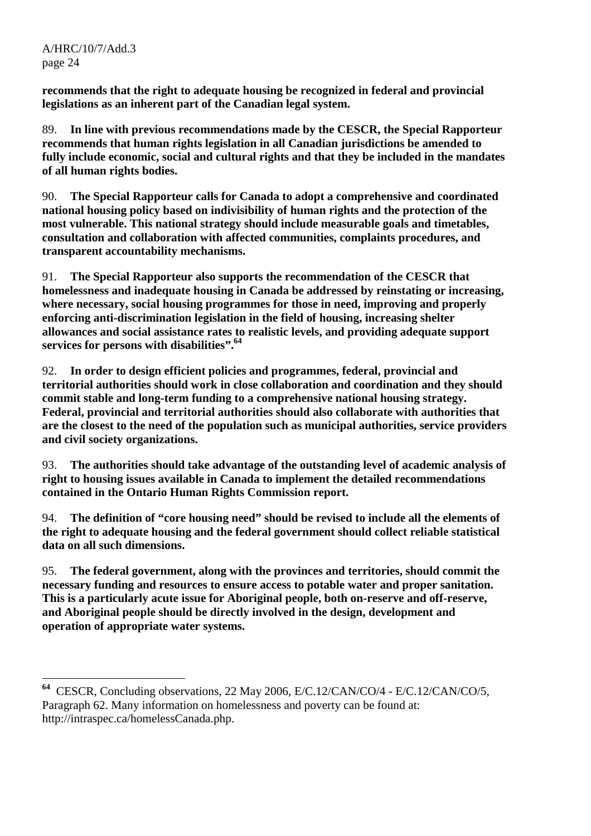$\overline{a}$ 

**recommends that the right to adequate housing be recognized in federal and provincial legislations as an inherent part of the Canadian legal system.** 

89. **In line with previous recommendations made by the CESCR, the Special Rapporteur recommends that human rights legislation in all Canadian jurisdictions be amended to fully include economic, social and cultural rights and that they be included in the mandates of all human rights bodies.** 

90. **The Special Rapporteur calls for Canada to adopt a comprehensive and coordinated national housing policy based on indivisibility of human rights and the protection of the most vulnerable. This national strategy should include measurable goals and timetables, consultation and collaboration with affected communities, complaints procedures, and transparent accountability mechanisms.** 

91. **The Special Rapporteur also supports the recommendation of the CESCR that homelessness and inadequate housing in Canada be addressed by reinstating or increasing, where necessary, social housing programmes for those in need, improving and properly enforcing anti-discrimination legislation in the field of housing, increasing shelter allowances and social assistance rates to realistic levels, and providing adequate support services for persons with disabilities".64**

92. **In order to design efficient policies and programmes, federal, provincial and territorial authorities should work in close collaboration and coordination and they should commit stable and long-term funding to a comprehensive national housing strategy. Federal, provincial and territorial authorities should also collaborate with authorities that are the closest to the need of the population such as municipal authorities, service providers and civil society organizations.** 

93. **The authorities should take advantage of the outstanding level of academic analysis of right to housing issues available in Canada to implement the detailed recommendations contained in the Ontario Human Rights Commission report.** 

94. **The definition of "core housing need" should be revised to include all the elements of the right to adequate housing and the federal government should collect reliable statistical data on all such dimensions.** 

95. **The federal government, along with the provinces and territories, should commit the necessary funding and resources to ensure access to potable water and proper sanitation. This is a particularly acute issue for Aboriginal people, both on-reserve and off-reserve, and Aboriginal people should be directly involved in the design, development and operation of appropriate water systems.** 

**<sup>64</sup>** CESCR, Concluding observations, 22 May 2006, E/C.12/CAN/CO/4 - E/C.12/CAN/CO/5, Paragraph 62. Many information on homelessness and poverty can be found at: http://intraspec.ca/homelessCanada.php.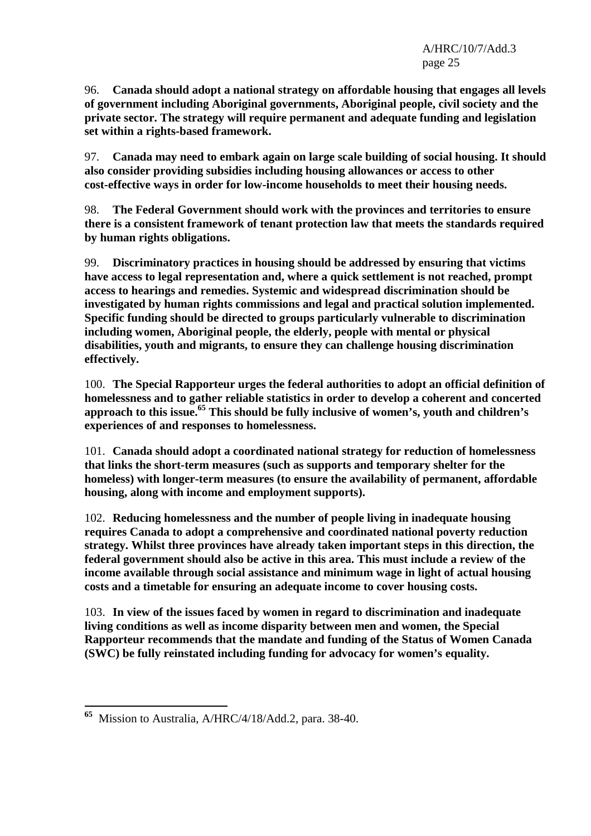96. **Canada should adopt a national strategy on affordable housing that engages all levels of government including Aboriginal governments, Aboriginal people, civil society and the private sector. The strategy will require permanent and adequate funding and legislation set within a rights-based framework.** 

97. **Canada may need to embark again on large scale building of social housing. It should also consider providing subsidies including housing allowances or access to other cost-effective ways in order for low-income households to meet their housing needs.** 

98. **The Federal Government should work with the provinces and territories to ensure there is a consistent framework of tenant protection law that meets the standards required by human rights obligations.** 

99. **Discriminatory practices in housing should be addressed by ensuring that victims have access to legal representation and, where a quick settlement is not reached, prompt access to hearings and remedies. Systemic and widespread discrimination should be investigated by human rights commissions and legal and practical solution implemented. Specific funding should be directed to groups particularly vulnerable to discrimination including women, Aboriginal people, the elderly, people with mental or physical disabilities, youth and migrants, to ensure they can challenge housing discrimination effectively.** 

100. **The Special Rapporteur urges the federal authorities to adopt an official definition of homelessness and to gather reliable statistics in order to develop a coherent and concerted**  approach to this issue.<sup>65</sup> This should be fully inclusive of women's, youth and children's **experiences of and responses to homelessness.** 

101. **Canada should adopt a coordinated national strategy for reduction of homelessness that links the short-term measures (such as supports and temporary shelter for the homeless) with longer-term measures (to ensure the availability of permanent, affordable housing, along with income and employment supports).** 

102. **Reducing homelessness and the number of people living in inadequate housing requires Canada to adopt a comprehensive and coordinated national poverty reduction strategy. Whilst three provinces have already taken important steps in this direction, the federal government should also be active in this area. This must include a review of the income available through social assistance and minimum wage in light of actual housing costs and a timetable for ensuring an adequate income to cover housing costs.** 

103. **In view of the issues faced by women in regard to discrimination and inadequate living conditions as well as income disparity between men and women, the Special Rapporteur recommends that the mandate and funding of the Status of Women Canada (SWC) be fully reinstated including funding for advocacy for women's equality.** 

<sup>65</sup> **<sup>65</sup>** Mission to Australia, A/HRC/4/18/Add.2, para. 38-40.